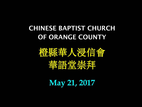#### CHINESE BAPTIST CHURCH OF ORANGE COUNTY



**May 21, 2017**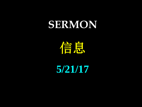# **SERMON**

信息

**5/21/17**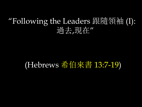# "Following the Leaders 跟隨領袖 (I): 過去,現在"

# (Hebrews 希伯來書 13:7-19)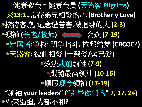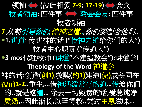

**7** 从前引导你们*,*传神之道*..,*你们要想念他们**.. 1.**讲道**:** 传讲神的话 **("**传神之道给你们的人**")** 牧者中心职责 **("**传道人**") 3 mos**代理牧师 **(**讲道**"**不建造教会**"):**讲道学**! Theology of the Word** 神道学 神的话**:**创造**(**创**1),**救赎**(**约**1)**建造**(**使**)**成长同在 彼前**1-2..**重生**,…**借神活泼常存的道**…**传给你们 的**..**就是这道**…** 除去一切毁谤的话**,**爱慕纯净 灵奶**,..**因此渐长**,**以至得救**..**尝过主恩滋味**,..**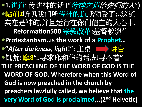**1.**讲道**:** 传讲神的话 **("**传神之道给你们的人**")** 帖前**2**听见我们所传神的道就领受了**;..**这道 实在是神的**,**并且运行在你们信主的人心中**. Reformation500** 宗教改革**:**基督教诞生 **Protestantism..is the work of a Prophet… "***After darkness, light***!":** 主桌 讲台 饥荒**:** 摩**8"..**寻求耶和华的话**,**却寻不着**" THE PREACHING OF THE WORD OF GOD IS THE WORD OF GOD. Wherefore when this Word of God is now preached in the church by preachers lawfully called, we believe that the very Word of God is proclaimed,..(2nd Helvetic)**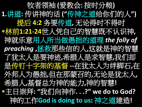牧者领袖 **(**爱教会**:** 按时分粮**) 1.**讲道**:** 传讲神的话 **("**传神之道给你们的人**")** 提后 **4:2** 务要传道**,** 无论得时不得时 林前**1:21-24**世人凭自己的智慧既不认识神**,** 神就乐意用人所当做愚拙的道理 *the folly of preaching* **,**拯救那些信的人**,**这就是神的智慧 了犹太人是要神迹**,**希腊人是求智慧**,**我们却 是传钉十字架的基督 **--**在犹太人为绊脚石**,**在 外邦人为愚拙**,**但在那蒙召的**,**无论是犹太人**,** 希腊人**,**基督总为神的能力**,**神的智慧**!** 主日崇拜**: "**我们向神作**. . .?" we do to God?** 神的工作**God is doing to us:** 神之道建造**!**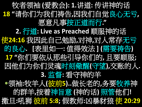牧者领袖 **(**爱教会**): 1.**讲道**:** 传讲神的话 **18 "**请你们为我们祷告**,**因我们自觉良心无亏**,**  愿意凡事按正道而行**." 2.** 行道**: Live as Preached** 顺服神的话 使**24:16** 我因此自己勉励**,**对神**,**对人常存无亏 的良心**. [**表里如一**:** 值得效法 **] (**需要祷告**)**

**17 "**你们要依从那些引导你们的**,** 且要顺服**;**  因他们为你们灵魂时刻儆醒**(**守望**),**交账的人**. 3.** 监督**:** 看守神的羊

领袖**:**牧羊人**(**彼前**5)..**做长老的**,**务要牧养神 的群羊**,**按着神旨意 **(**神的话**)** 照管他们**!** 撒旦**:**吼狮 彼前 **5:8;** 假教师**:**凶暴豺狼 使 **20:29**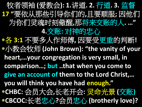牧者领袖 **(**爱教会**): 1.**讲道**. 2.** 行道**. 3.** 监督 **17 "**要依从那些引导你们的**,**且要顺服**;** 因他们 为你们灵魂时刻儆醒**,**那将来交账的人**. …" 4.**交账**:** 对神的忠心 各 **3:1** 不要多人作师傅**,** 因要受更重的判断**!** 小教会牧师 **(John Brown): "the vanity of your heart,…your congregation is very small, in comparison…; but ..that when you come to give an account of them to the Lord Christ,… you will think you have had enough." CHBC:** 会员大会**,**长老开会**:** 灵命光景 **(**交账**) CBCOC:**长老忠心**?**会员忠心 **(brotherly love)?**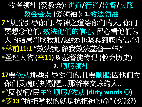牧者领袖 **(**爱教会**):** 讲道**/**行道**/**监督**/**交账 教会会友 **(**爱领袖 **): 1.**效法领袖 **7 "**从前引导你们**,** 传神之道给你们的人**,** 你们 要想念他们**,** 效法他们的信心**,** 留心看他们为 人的结局**."[**耿牧师**/**赵牧师**:**坚忍到底的信心**]** 林前**11:1 "**效法我**,** 像我效法基督一样**."** 圣经人物 **(**来**11) &** 基督徒传记 **(**教会历史**)** 2. 顺服领袖 **17**要依从那些引导你们的**,**且要顺服**;**因他们为 你们灵魂时刻儆醒**,…**那将来交账的人**.. "**反权柄**/**民主**":** 顺服**/**依从 **(dirty words )** 罗**13 "**抗拒掌权的就是抗拒神的命**" (**交账**?)**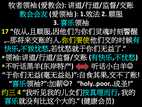### 牧者领袖 **(**爱教会**):** 讲道**/**行道**/**监督**/**交账 教会会友 **(**爱领袖 **): 1.**效法 **2.** 顺服 **3.** 喜乐领袖

**17 "**依从**,**且顺服**,**因他们为你们灵魂时刻警醒 **,..**那将来交账的人**.**你们要使他们交的时候有 快乐**,**不致忧愁**,**若忧愁就于你们无益了**."** 领袖**:**讲道**/**行道**/**监督**/**交账 **(**有快乐**,**不忧愁**)** 不听话黑羊**(**东岸特产**)** 听话小白羊 **"**于你们无益**(**毫无益处**)":**自食其果**,**交不了账**! "**喜乐领袖**?":**加薪**? "holy..poor..**成圣**!"** 约三 **4 "**我听见我的儿女们按真理而行**,** 我的 喜乐就没有比这个大的**." (**健康会员**)**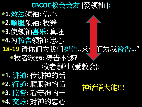#### **CBCOC**教会会友 **(**爱领袖 **):**

**1.**效法领袖**:** 信心 **2.**顺服领袖**:** 牧养 **3.**使领袖喜乐**:** 真理 **4.**为祷告领袖**:** 忠心 18-19 请你们为我们祷告..求 们为我祷告…" 牧者软弱**:** 祷告不够**?** 牧者领袖 **(**爱教会**): 1.** 讲道**:** 传讲神的话 **2.** 行道**:** 顺服神的话 **3.** 监督**:** 看守神的羊 **4.** 交账**:** 对神的忠心 神话语大能!!!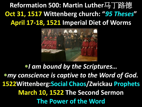**Reformation 500: Martin Luther**马丁路德 **Oct 31, 1517 Wittenberg church: "***95 Theses***" April 17-18, 1521 Imperial Diet of Worms**



*I am bound by the Scriptures… my conscience is captive to the Word of God.* **1522Wittenberg:Social Chaos/Zwickau Prophets March 10, 1522 The Second Sermon The Power of the Word**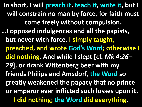**In short, I will preach it, teach it, write it, but I will constrain no man by force, for faith must come freely without compulsion. …I opposed indulgences and all the papists, but never with force. I simply taught, preached, and wrote God's Word; otherwise I did nothing. And while I slept [cf.** *Mk 4:26– 29***], or drank Wittenberg beer with my friends Philips and Amsdorf, the Word so greatly weakened the papacy that no prince or emperor ever inflicted such losses upon it. I did nothing; the Word did everything.**